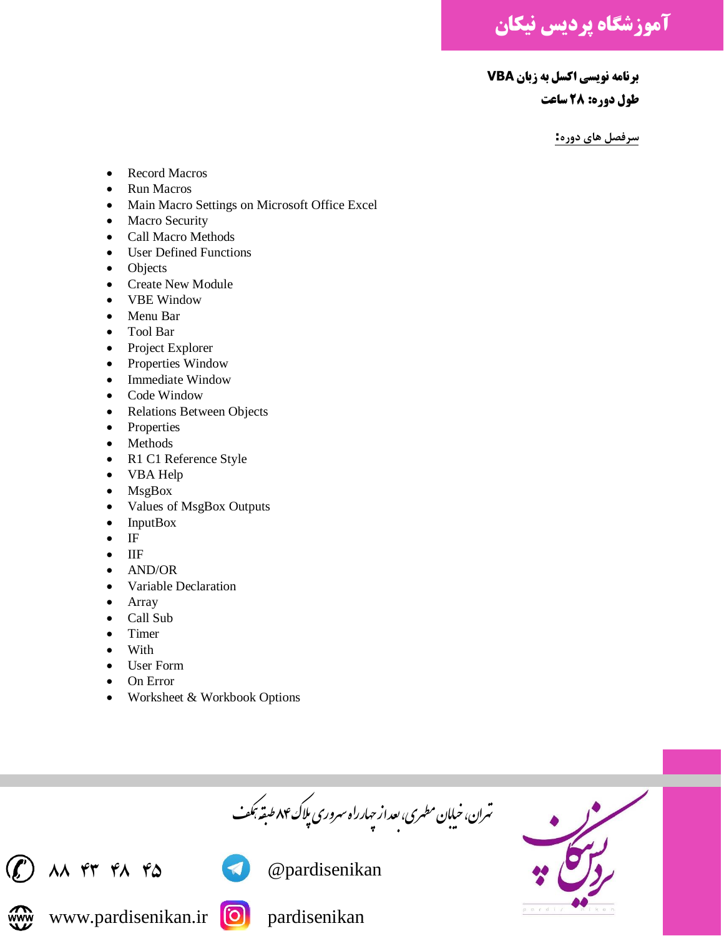**آموزشگاه پردیس نیکان**

**برنامه نویسی اکسل به زبان VBA طول دوره: 28 ساعت**

**سرفصل های دوره:**

- Record Macros
- Run Macros
- Main Macro Settings on Microsoft Office Excel
- Macro Security
- Call Macro Methods
- User Defined Functions
- Objects
- Create New Module
- VBE Window
- Menu Bar
- Tool Bar
- Project Explorer
- Properties Window
- Immediate Window
- Code Window
- Relations Between Objects
- Properties
- Methods
- R1 C1 Reference Style
- VBA Help
- MsgBox
- Values of MsgBox Outputs
- InputBox
- IF
- IIF
- AND/OR
- Variable Declaration
- **Array**
- Call Sub
- Timer
- With
- User Form
- On Error
- Worksheet & Workbook Options